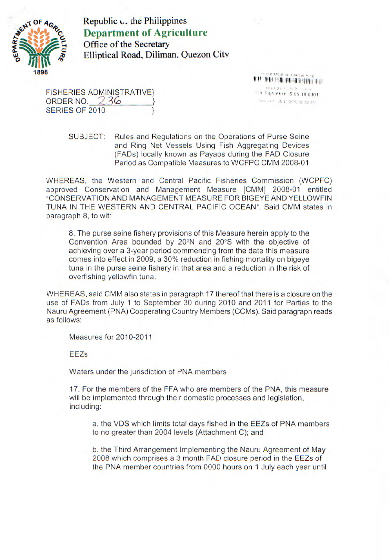

Republic  $\mathsf{c}$ , the Philippines **Department of Agriculture**  Office of the Secretary Elliptical Road, Diliman, Quezon City

FISHERIES ADMINISTRATIVE}<br>
ORDER NO. 236 (1994) ORDER NO. 236 SERIES OF 2010

THE RICE CREATE REPORT OF

SUBJECT: Rules and Regulations on the Operations of Purse Seine and Ring Net Vessels Using Fish Aggregating Devices (FADs) locally known as Payaos during the FAD Closure Period as Compatible Measures to WCFPC CMM 2008-01

WHEREAS, the Western and Central Pacific Fisheries Commission (WCPFC) approved Conservation and Management Measure [CMM] 2008-01 entitled "CONSERVATION AND MANAGEMENT MEASURE FOR BIGEYE AND YELLOWFIN TUNA IN THE WESTERN AND CENTRAL PACIFIC OCEAN". Said CMM states in paragraph 8, to wit:

8. The purse seine fishery provisions of this Measure herein apply to the Convention Area bounded by 20 $\textdegree$ N and 20 $\textdegree$ S with the objective of achieving over a 3-year period commencing from the date this measure comes into effect in 2009, a 30% reduction in fishing mortality on bigeye tuna in the purse seine fishery in that area and a reduction in the risk of overfishing yellowfin tuna.

WHEREAS, said CMM also states in paragraph 17 thereof that there is a closure on the use of FADs from July 1 to September 30 during 2010 and 2011 for Parties to the Nauru Agreement (PNA) Cooperating Country Members (CCMs). Said paragraph reads as follows:

Measures for 2010-2011

**EEZs** 

Waters under the jurisdiction of PNA members

17. For the members of the FFA who are members of the PNA, this measure will be implemented through their domestic processes and legislation, including:

a. the VDS which limits total days fished in the EEZs of PNA members to no greater than 2004 levels (Attachment C); and

b. the Third Arrangement Implementing the Nauru Agreement of May 2008 which comprises a 3 month FAD closure period in the EEZs of the PNA member countries from 0000 hours on 1 July each year until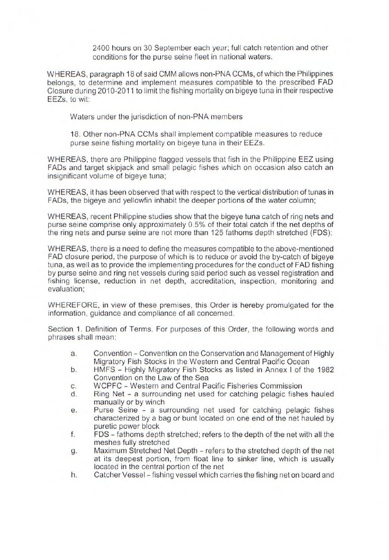2400 hours on 30 September each year; full catch retention and other conditions for the purse seine fleet in national waters.

WHEREAS, paragraph 18 of said CMM allows non-PNA CCMs, of which the Philippines belongs, to determine and implement measures compatible to the prescribed FAD Closure during 2010-2011 to limit the fishing mortality on bigeye tuna in their respective EEZs, to wit:

Waters under the jurisdiction of non-PNA members

18. Other non-PNA CCMs shall implement compatible measures to reduce purse seine fishing mortality on bigeye tuna in their EEZ5.

WHEREAS, there are Philippine flagged vessels that fish in the Philippine EEZ using FADs and target skipjack and small pelagic fishes which on occasion also catch an insignificant volume of bigeye tuna;

WHEREAS, it has been observed that with respect to the vertical distribution of tunas in FADs, the bigeye and yellowfin inhabit the deeper portions of the water column;

WHEREAS, recent Philippine studies show that the bigeye tuna catch of ring nets and purse seine comprise only approximately 0.5% of their total catch if the net depths of the ring nets and purse seine are not more than 125 fathoms depth stretched (FDS);

WHEREAS, there is a need to define the measures compatible to the above-mentioned FAD closure period, the purpose of which is to reduce or avoid the by-catch of bigeye tuna, as well as to provide the implementing procedures for the conduct of FAD fishing by purse seine and ring net vessels during said period such as vessel registration and fishing license, reduction in net depth, accreditation, inspection, monitoring and evaluation;

WHEREFORE, in view of these premises, this Order is hereby promulgated for the information, guidance and compliance of all concerned.

Section 1. Definition of Terms. For purposes of this Order, the following words and phrases shall mean:

- a. Convention Convention on the Conservation and Management of Highly Migratory Fish Stocks in the Western and Central Pacific Ocean
- b. HMFS Highly Migratory Fish Stocks as listed in Annex I of the 1982 Convention on the Law of the Sea
- C. WCPFC Western and Central Pacific Fisheries Commission
- d. Ring Net a surrounding net used for catching pelagic fishes hauled manually or by winch
- e. Purse Seine a surrounding net used for catching pelagic fishes characterized by a bag or bunt located on one end of the net hauled by puretic power block
- f. FDS fathoms depth stretched; refers to the depth of the net with all the meshes fully stretched
- g. Maximum Stretched Net Depth refers to the stretched depth of the net at its deepest portion, from float line to sinker line, which is usually located in the central portion of the net
- h. Catcher Vessel fishing vessel which carries the fishing net on board and